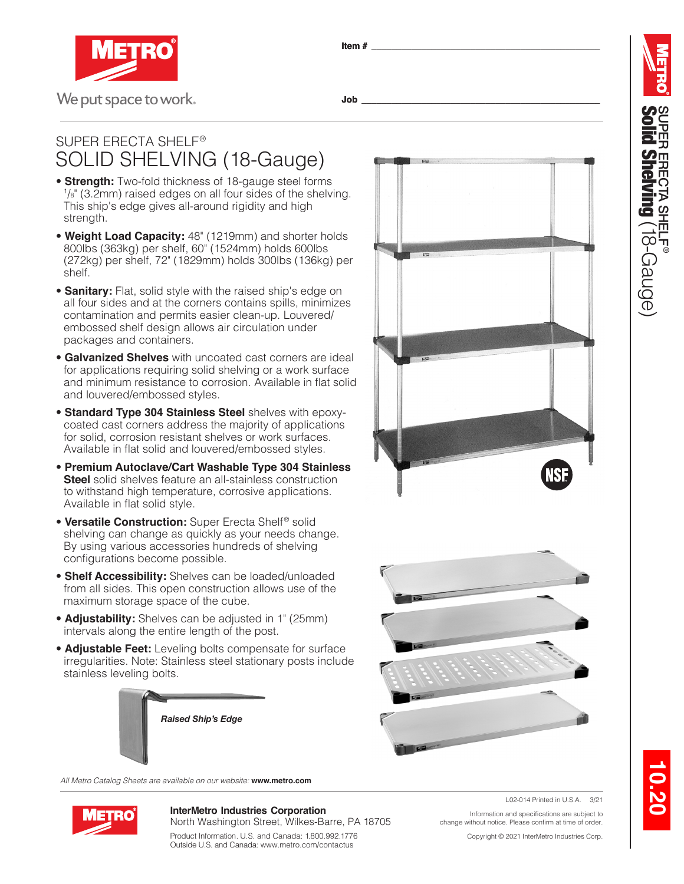

**Item # \_\_\_\_\_\_\_\_\_\_\_\_\_\_\_\_\_\_\_\_\_\_\_\_\_\_\_\_\_\_\_\_\_\_\_\_\_\_\_\_\_\_\_\_\_\_**

## **Job \_\_\_\_\_\_\_\_\_\_\_\_\_\_\_\_\_\_\_\_\_\_\_\_\_\_\_\_\_\_\_\_\_\_\_\_\_\_\_\_\_\_\_\_\_\_\_\_**

## SUPER ERECTA SHELF ® SOLID SHELVING (18-Gauge)

- **Strength:** Two-fold thickness of 18-gauge steel forms  $1/s$ " (3.2mm) raised edges on all four sides of the shelving. This ship's edge gives all-around rigidity and high strength.
- **Weight Load Capacity:** 48" (1219mm) and shorter holds 800lbs (363kg) per shelf, 60" (1524mm) holds 600lbs (272kg) per shelf, 72" (1829mm) holds 300lbs (136kg) per shelf.
- **Sanitary:** Flat, solid style with the raised ship's edge on all four sides and at the corners contains spills, minimizes contamination and permits easier clean-up. Louvered/ embossed shelf design allows air circulation under packages and containers.
- **Galvanized Shelves** with uncoated cast corners are ideal for applications requiring solid shelving or a work surface and minimum resistance to corrosion. Available in flat solid and louvered/embossed styles.
- **Standard Type 304 Stainless Steel** shelves with epoxycoated cast corners address the majority of applications for solid, corrosion resistant shelves or work surfaces. Available in flat solid and louvered/embossed styles.
- **Premium Autoclave/Cart Washable Type 304 Stainless Steel** solid shelves feature an all-stainless construction to withstand high temperature, corrosive applications. Available in flat solid style.
- **Versatile Construction:** Super Erecta Shelf ® solid shelving can change as quickly as your needs change. By using various accessories hundreds of shelving configurations become possible.
- **Shelf Accessibility:** Shelves can be loaded/unloaded from all sides. This open construction allows use of the maximum storage space of the cube.
- **Adjustability:** Shelves can be adjusted in 1" (25mm) intervals along the entire length of the post.
- **Adjustable Feet:** Leveling bolts compensate for surface irregularities. Note: Stainless steel stationary posts include stainless leveling bolts.



*All Metro Catalog Sheets are available on our website:* **www.metro.com**



**InterMetro Industries Corporation** North Washington Street, Wilkes-Barre, PA 18705

Product Information. U.S. and Canada: 1.800.992.1776 Outside U.S. and Canada: www.metro.com/contactus

Information and specifications are subject to change without notice. Please confirm at time of order.

Copyright © 2021 InterMetro Industries Corp.

L02-014 Printed in U.S.A. 3/21